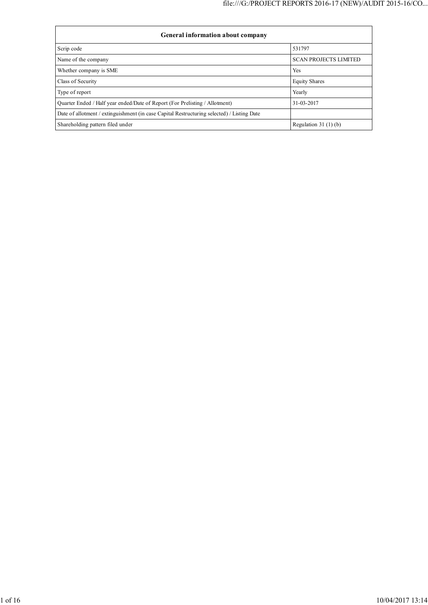| General information about company                                                          |                              |  |  |  |  |  |
|--------------------------------------------------------------------------------------------|------------------------------|--|--|--|--|--|
| Scrip code                                                                                 | 531797                       |  |  |  |  |  |
| Name of the company                                                                        | <b>SCAN PROJECTS LIMITED</b> |  |  |  |  |  |
| Whether company is SME                                                                     | Yes                          |  |  |  |  |  |
| Class of Security                                                                          | <b>Equity Shares</b>         |  |  |  |  |  |
| Type of report                                                                             | Yearly                       |  |  |  |  |  |
| Quarter Ended / Half year ended/Date of Report (For Prelisting / Allotment)                | 31-03-2017                   |  |  |  |  |  |
| Date of allotment / extinguishment (in case Capital Restructuring selected) / Listing Date |                              |  |  |  |  |  |
| Shareholding pattern filed under                                                           | Regulation $31(1)(b)$        |  |  |  |  |  |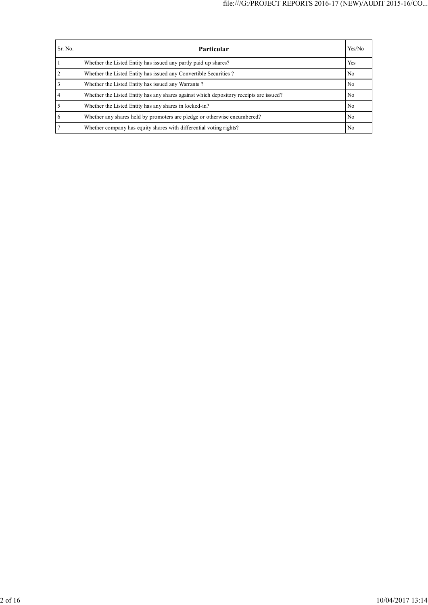| Sr. No. | Particular                                                                             | Yes/No         |
|---------|----------------------------------------------------------------------------------------|----------------|
|         | Whether the Listed Entity has issued any partly paid up shares?                        | Yes            |
|         | Whether the Listed Entity has issued any Convertible Securities?                       | N <sub>0</sub> |
|         | Whether the Listed Entity has issued any Warrants?                                     | N <sub>0</sub> |
|         | Whether the Listed Entity has any shares against which depository receipts are issued? | No             |
|         | Whether the Listed Entity has any shares in locked-in?                                 | N <sub>0</sub> |
| 6       | Whether any shares held by promoters are pledge or otherwise encumbered?               | N <sub>0</sub> |
|         | Whether company has equity shares with differential voting rights?                     | No             |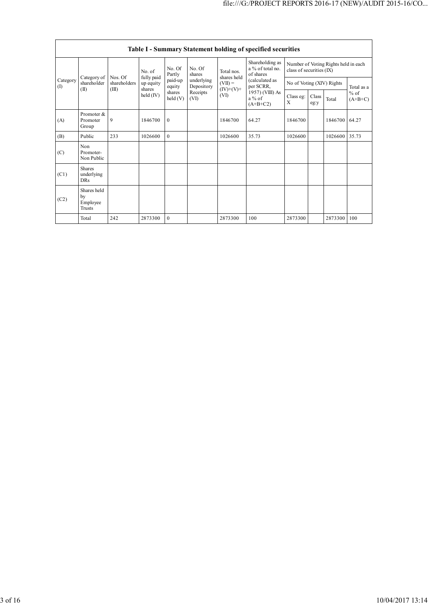|                 | Table I - Summary Statement holding of specified securities |                                  |                                   |                            |                          |                           |                                                  |                                                                  |               |               |                     |  |
|-----------------|-------------------------------------------------------------|----------------------------------|-----------------------------------|----------------------------|--------------------------|---------------------------|--------------------------------------------------|------------------------------------------------------------------|---------------|---------------|---------------------|--|
|                 |                                                             |                                  | No. of                            | No. Of<br>Partly           | No. Of<br>shares         | Total nos.<br>shares held | Shareholding as<br>a % of total no.<br>of shares | Number of Voting Rights held in each<br>class of securities (IX) |               |               |                     |  |
| Category<br>(I) | Category of<br>shareholder                                  | Nos. Of<br>shareholders<br>(III) | fully paid<br>up equity<br>shares | paid-up<br>equity          | underlying<br>Depository | $(VII) =$                 | (calculated as<br>per SCRR,                      | No of Voting (XIV) Rights                                        |               |               | Total as a          |  |
| $(\mathbb{I})$  |                                                             |                                  | held (IV)                         | shares<br>$\text{held}(V)$ | Receipts<br>(VI)         | $(IV)+(V)+$<br>(VI)       | 1957) (VIII) As<br>$a\%$ of<br>$(A+B+C2)$        | Class eg:<br>X                                                   | Class<br>eg:y | Total         | $%$ of<br>$(A+B+C)$ |  |
| (A)             | Promoter &<br>Promoter<br>Group                             | 9                                | 1846700                           | $\theta$                   |                          | 1846700                   | 64.27                                            | 1846700                                                          |               | 1846700 64.27 |                     |  |
| (B)             | Public                                                      | 233                              | 1026600                           | $\theta$                   |                          | 1026600                   | 35.73                                            | 1026600                                                          |               | 1026600       | 35.73               |  |
| (C)             | Non<br>Promoter-<br>Non Public                              |                                  |                                   |                            |                          |                           |                                                  |                                                                  |               |               |                     |  |
| (C1)            | <b>Shares</b><br>underlying<br><b>DRs</b>                   |                                  |                                   |                            |                          |                           |                                                  |                                                                  |               |               |                     |  |
| (C2)            | Shares held<br>by<br>Employee<br>Trusts                     |                                  |                                   |                            |                          |                           |                                                  |                                                                  |               |               |                     |  |
|                 | Total                                                       | 242                              | 2873300                           | $\theta$                   |                          | 2873300                   | 100                                              | 2873300                                                          |               | 2873300       | 100                 |  |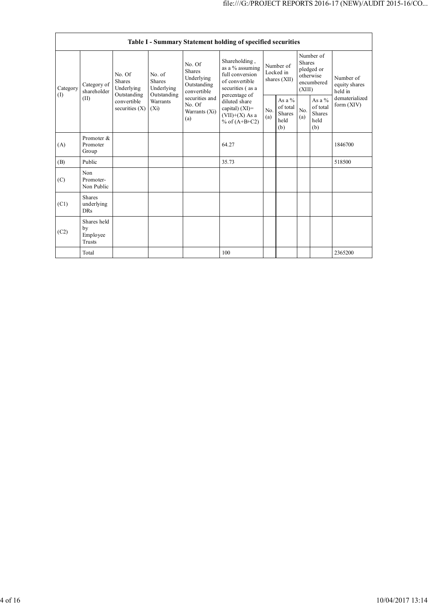|                 | Table I - Summary Statement holding of specified securities |                                                                                               |                                    |                                                              |                                                                                                            |                                          |                                                      |                                                                               |                                                      |                                       |
|-----------------|-------------------------------------------------------------|-----------------------------------------------------------------------------------------------|------------------------------------|--------------------------------------------------------------|------------------------------------------------------------------------------------------------------------|------------------------------------------|------------------------------------------------------|-------------------------------------------------------------------------------|------------------------------------------------------|---------------------------------------|
| Category<br>(1) | Category of<br>shareholder<br>(II)                          | No. Of<br>No. of<br><b>Shares</b><br><b>Shares</b><br>Underlying<br>Underlying<br>Outstanding |                                    | No. Of<br>Shares<br>Underlying<br>Outstanding<br>convertible | Shareholding,<br>as a % assuming<br>full conversion<br>of convertible<br>securities (as a<br>percentage of | Number of<br>Locked in<br>shares $(XII)$ |                                                      | Number of<br><b>Shares</b><br>pledged or<br>otherwise<br>encumbered<br>(XIII) |                                                      | Number of<br>equity shares<br>held in |
|                 |                                                             | convertible<br>securities $(X)$                                                               | Outstanding<br>Warrants<br>$(X_i)$ | securities and<br>No. Of<br>Warrants (Xi)<br>(a)             | diluted share<br>capital) (XI)=<br>$(VII)+(X)$ As a<br>% of $(A+B+C2)$                                     | No.<br>(a)                               | As a $%$<br>of total<br><b>Shares</b><br>held<br>(b) | No.<br>(a)                                                                    | As a $%$<br>of total<br><b>Shares</b><br>held<br>(b) | dematerialized<br>form (XIV)          |
| (A)             | Promoter &<br>Promoter<br>Group                             |                                                                                               |                                    |                                                              | 64.27                                                                                                      |                                          |                                                      |                                                                               |                                                      | 1846700                               |
| (B)             | Public                                                      |                                                                                               |                                    |                                                              | 35.73                                                                                                      |                                          |                                                      |                                                                               |                                                      | 518500                                |
| (C)             | Non<br>Promoter-<br>Non Public                              |                                                                                               |                                    |                                                              |                                                                                                            |                                          |                                                      |                                                                               |                                                      |                                       |
| (C1)            | <b>Shares</b><br>underlying<br><b>DRs</b>                   |                                                                                               |                                    |                                                              |                                                                                                            |                                          |                                                      |                                                                               |                                                      |                                       |
| (C2)            | Shares held<br>by<br>Employee<br>Trusts                     |                                                                                               |                                    |                                                              |                                                                                                            |                                          |                                                      |                                                                               |                                                      |                                       |
|                 | Total                                                       |                                                                                               |                                    |                                                              | 100                                                                                                        |                                          |                                                      |                                                                               |                                                      | 2365200                               |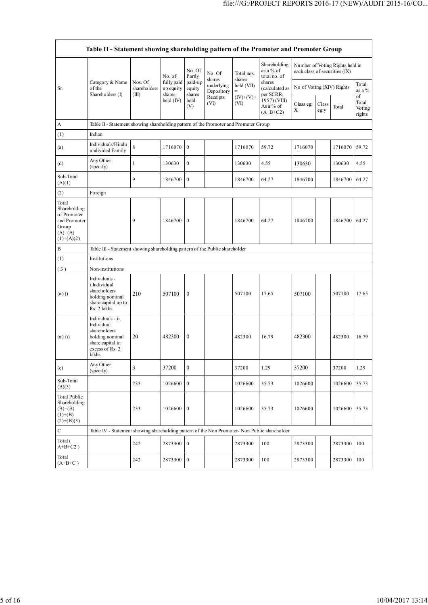|                                                                                             | Table II - Statement showing shareholding pattern of the Promoter and Promoter Group                                |                                  |                                   |                             |                                    |                      |                                                                                    |                                                                  |               |               |                                 |
|---------------------------------------------------------------------------------------------|---------------------------------------------------------------------------------------------------------------------|----------------------------------|-----------------------------------|-----------------------------|------------------------------------|----------------------|------------------------------------------------------------------------------------|------------------------------------------------------------------|---------------|---------------|---------------------------------|
|                                                                                             |                                                                                                                     |                                  | No. of                            | No. Of<br>Partly            | No. Of                             | Total nos.<br>shares | Shareholding<br>as a % of<br>total no. of<br>shares<br>(calculated as<br>per SCRR, | Number of Voting Rights held in<br>each class of securities (IX) |               |               |                                 |
| Sr.                                                                                         | Category & Name<br>of the<br>Shareholders (I)                                                                       | Nos. Of<br>shareholders<br>(III) | fully paid<br>up equity<br>shares | paid-up<br>equity<br>shares | shares<br>underlying<br>Depository | held (VII)           |                                                                                    | No of Voting (XIV) Rights                                        |               |               | Total<br>as a $%$               |
|                                                                                             |                                                                                                                     |                                  | held $(IV)$                       | held<br>(V)                 | Receipts<br>(VI)                   | $(IV)+(V)+$<br>(VI)  | 1957) (VIII)<br>As a % of<br>$(A+B+C2)$                                            | Class eg:<br>Χ                                                   | Class<br>eg:y | Total         | of<br>Total<br>Voting<br>rights |
| A                                                                                           | Table II - Statement showing shareholding pattern of the Promoter and Promoter Group                                |                                  |                                   |                             |                                    |                      |                                                                                    |                                                                  |               |               |                                 |
| (1)                                                                                         | Indian                                                                                                              |                                  |                                   |                             |                                    |                      |                                                                                    |                                                                  |               |               |                                 |
| (a)                                                                                         | Individuals/Hindu<br>undivided Family                                                                               | 8                                | 1716070                           | $\mathbf{0}$                |                                    | 1716070              | 59.72                                                                              | 1716070                                                          |               | 1716070       | 59.72                           |
| (d)                                                                                         | Any Other<br>(specify)                                                                                              | $\mathbf{1}$                     | 130630                            | $\mathbf{0}$                |                                    | 130630               | 4.55                                                                               | 130630                                                           |               | 130630        | 4.55                            |
| Sub-Total<br>(A)(1)                                                                         |                                                                                                                     | 9                                | 1846700                           | $\mathbf{0}$                |                                    | 1846700              | 64.27                                                                              | 1846700                                                          |               | 1846700       | 64.27                           |
| (2)                                                                                         | Foreign                                                                                                             |                                  |                                   |                             |                                    |                      |                                                                                    |                                                                  |               |               |                                 |
| Total<br>Shareholding<br>of Promoter<br>and Promoter<br>Group<br>$(A)= (A)$<br>$(1)+(A)(2)$ |                                                                                                                     | 9                                | 1846700                           | $\mathbf{0}$                |                                    | 1846700              | 64.27                                                                              | 1846700                                                          |               | 1846700       | 64.27                           |
| B                                                                                           | Table III - Statement showing shareholding pattern of the Public shareholder                                        |                                  |                                   |                             |                                    |                      |                                                                                    |                                                                  |               |               |                                 |
| (1)                                                                                         | Institutions                                                                                                        |                                  |                                   |                             |                                    |                      |                                                                                    |                                                                  |               |               |                                 |
| (3)                                                                                         | Non-institutions                                                                                                    |                                  |                                   |                             |                                    |                      |                                                                                    |                                                                  |               |               |                                 |
| (a(i))                                                                                      | Individuals -<br>i.Individual<br>shareholders<br>holding nominal<br>share capital up to<br>Rs. 2 lakhs.             | 210                              | 507100                            | $\mathbf{0}$                |                                    | 507100               | 17.65                                                                              | 507100                                                           |               | 507100        | 17.65                           |
| (a(ii))                                                                                     | Individuals - ii.<br>Individual<br>shareholders<br>holding nominal<br>share capital in<br>excess of Rs. 2<br>lakhs. | 20                               | 482300                            | $\mathbf{0}$                |                                    | 482300               | 16.79                                                                              | 482300                                                           |               | 482300        | 16.79                           |
| (e)                                                                                         | Any Other<br>(specify)                                                                                              | $\mathfrak{Z}$                   | 37200                             | $\boldsymbol{0}$            |                                    | 37200                | 1.29                                                                               | 37200                                                            |               | 37200         | 1.29                            |
| Sub-Total<br>(B)(3)                                                                         |                                                                                                                     | 233                              | 1026600                           | $\mathbf{0}$                |                                    | 1026600              | 35.73                                                                              | 1026600                                                          |               | 1026600       | 35.73                           |
| Total Public<br>Shareholding<br>$(B)= (B)$<br>$(1)+(B)$<br>$(2)+(B)(3)$                     |                                                                                                                     | 233                              | 1026600                           | $\mathbf{0}$                |                                    | 1026600              | 35.73                                                                              | 1026600                                                          |               | 1026600 35.73 |                                 |
| $\mathbf C$                                                                                 | Table IV - Statement showing shareholding pattern of the Non Promoter- Non Public shareholder                       |                                  |                                   |                             |                                    |                      |                                                                                    |                                                                  |               |               |                                 |
| Total (<br>$A+B+C2$ )                                                                       |                                                                                                                     | 242                              | 2873300                           | $\mathbf{0}$                |                                    | 2873300              | 100                                                                                | 2873300                                                          |               | 2873300       | 100                             |
| Total<br>$(A+B+C)$                                                                          |                                                                                                                     | 242                              | 2873300                           | $\mathbf{0}$                |                                    | 2873300              | 100                                                                                | 2873300                                                          |               | 2873300       | 100                             |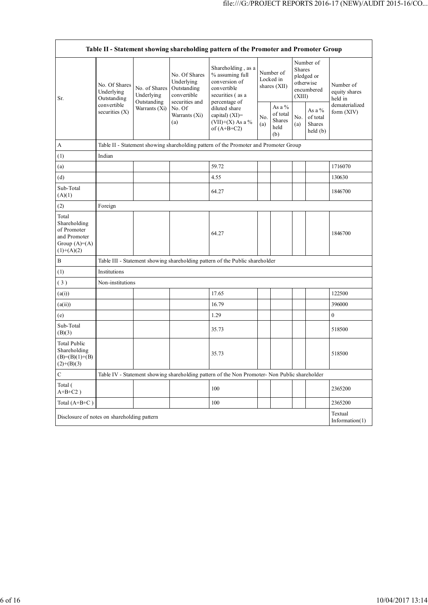| Table II - Statement showing shareholding pattern of the Promoter and Promoter Group   |                                            |                                                             |                                                                                                               |                                                                                               |                                          |                                                      |                                                                        |                                           |                                       |
|----------------------------------------------------------------------------------------|--------------------------------------------|-------------------------------------------------------------|---------------------------------------------------------------------------------------------------------------|-----------------------------------------------------------------------------------------------|------------------------------------------|------------------------------------------------------|------------------------------------------------------------------------|-------------------------------------------|---------------------------------------|
| Sr.                                                                                    | No. Of Shares<br>Underlying<br>Outstanding | No. of Shares<br>Underlying<br>Outstanding<br>Warrants (Xi) | No. Of Shares<br>Underlying<br>Outstanding<br>convertible<br>securities and<br>No. Of<br>Warrants (Xi)<br>(a) | Shareholding, as a<br>% assuming full<br>conversion of<br>convertible<br>securities (as a     | Number of<br>Locked in<br>shares $(XII)$ |                                                      | Number of<br>Shares<br>pledged or<br>otherwise<br>encumbered<br>(XIII) |                                           | Number of<br>equity shares<br>held in |
|                                                                                        | convertible<br>securities $(X)$            |                                                             |                                                                                                               | percentage of<br>diluted share<br>capital) (XI)=<br>(VII)+(X) As a %<br>of $(A+B+C2)$         | No.<br>(a)                               | As a $%$<br>of total<br><b>Shares</b><br>held<br>(b) | No.<br>(a)                                                             | As a $%$<br>of total<br>Shares<br>held(b) | dematerialized<br>form (XIV)          |
| А                                                                                      |                                            |                                                             |                                                                                                               | Table II - Statement showing shareholding pattern of the Promoter and Promoter Group          |                                          |                                                      |                                                                        |                                           |                                       |
| (1)                                                                                    | Indian                                     |                                                             |                                                                                                               |                                                                                               |                                          |                                                      |                                                                        |                                           |                                       |
| (a)                                                                                    |                                            |                                                             |                                                                                                               | 59.72                                                                                         |                                          |                                                      |                                                                        |                                           | 1716070                               |
| (d)                                                                                    |                                            |                                                             |                                                                                                               | 4.55                                                                                          |                                          |                                                      |                                                                        |                                           | 130630                                |
| Sub-Total<br>(A)(1)                                                                    |                                            |                                                             |                                                                                                               | 64.27                                                                                         |                                          |                                                      |                                                                        |                                           | 1846700                               |
| (2)                                                                                    | Foreign                                    |                                                             |                                                                                                               |                                                                                               |                                          |                                                      |                                                                        |                                           |                                       |
| Total<br>Shareholding<br>of Promoter<br>and Promoter<br>Group $(A)=A)$<br>$(1)+(A)(2)$ |                                            |                                                             |                                                                                                               | 64.27                                                                                         |                                          |                                                      |                                                                        |                                           | 1846700                               |
| $\, {\bf B}$                                                                           |                                            |                                                             |                                                                                                               | Table III - Statement showing shareholding pattern of the Public shareholder                  |                                          |                                                      |                                                                        |                                           |                                       |
| (1)                                                                                    | Institutions                               |                                                             |                                                                                                               |                                                                                               |                                          |                                                      |                                                                        |                                           |                                       |
| (3)                                                                                    | Non-institutions                           |                                                             |                                                                                                               |                                                                                               |                                          |                                                      |                                                                        |                                           |                                       |
| (a(i))                                                                                 |                                            |                                                             |                                                                                                               | 17.65                                                                                         |                                          |                                                      |                                                                        |                                           | 122500                                |
| (a(ii))                                                                                |                                            |                                                             |                                                                                                               | 16.79                                                                                         |                                          |                                                      |                                                                        |                                           | 396000                                |
| (e)                                                                                    |                                            |                                                             |                                                                                                               | 1.29                                                                                          |                                          |                                                      |                                                                        |                                           | 0                                     |
| Sub-Total<br>(B)(3)                                                                    |                                            |                                                             |                                                                                                               | 35.73                                                                                         |                                          |                                                      |                                                                        |                                           | 518500                                |
| <b>Total Public</b><br>Shareholding<br>$(B)=(B)(1)+(B)$<br>$(2)+(B)(3)$                |                                            |                                                             |                                                                                                               | 35.73                                                                                         |                                          |                                                      |                                                                        |                                           | 518500                                |
| C                                                                                      |                                            |                                                             |                                                                                                               | Table IV - Statement showing shareholding pattern of the Non Promoter- Non Public shareholder |                                          |                                                      |                                                                        |                                           |                                       |
| Total (<br>$A+B+C2$ )                                                                  |                                            |                                                             |                                                                                                               | 100                                                                                           |                                          |                                                      |                                                                        |                                           | 2365200                               |
| Total (A+B+C)                                                                          |                                            |                                                             |                                                                                                               | 100                                                                                           |                                          |                                                      |                                                                        |                                           | 2365200                               |
| Disclosure of notes on shareholding pattern                                            |                                            |                                                             |                                                                                                               |                                                                                               |                                          |                                                      |                                                                        |                                           | Textual<br>Information $(1)$          |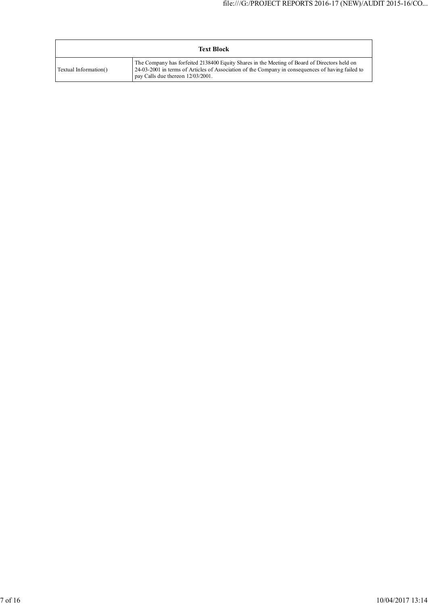| <b>Text Block</b>     |                                                                                                                                                                                                                                        |  |  |  |  |  |
|-----------------------|----------------------------------------------------------------------------------------------------------------------------------------------------------------------------------------------------------------------------------------|--|--|--|--|--|
| Textual Information() | The Company has forfeited 2138400 Equity Shares in the Meeting of Board of Directors held on<br>24-03-2001 in terms of Articles of Association of the Company in consequences of having failed to<br>pay Calls due thereon 12/03/2001. |  |  |  |  |  |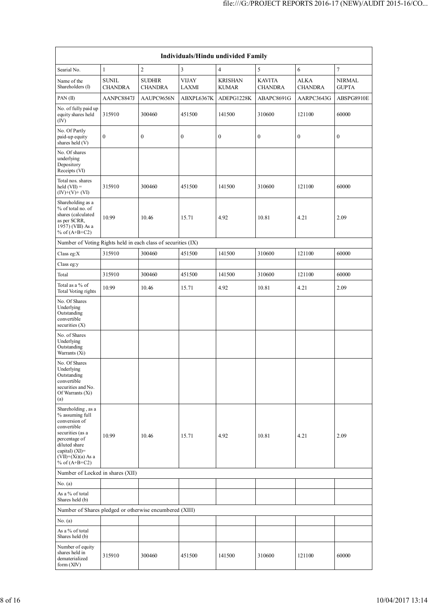| Individuals/Hindu undivided Family                                                                                                                                                       |                                |                                 |                       |                                |                                 |                               |                               |  |  |
|------------------------------------------------------------------------------------------------------------------------------------------------------------------------------------------|--------------------------------|---------------------------------|-----------------------|--------------------------------|---------------------------------|-------------------------------|-------------------------------|--|--|
| Searial No.                                                                                                                                                                              | $\mathbf{1}$                   | $\sqrt{2}$                      | $\mathfrak z$         | $\overline{4}$                 | 5                               | 6                             | $\tau$                        |  |  |
| Name of the<br>Shareholders (I)                                                                                                                                                          | <b>SUNIL</b><br><b>CHANDRA</b> | <b>SUDHIR</b><br><b>CHANDRA</b> | <b>VIJAY</b><br>LAXMI | <b>KRISHAN</b><br><b>KUMAR</b> | <b>KAVITA</b><br><b>CHANDRA</b> | <b>ALKA</b><br><b>CHANDRA</b> | <b>NIRMAL</b><br><b>GUPTA</b> |  |  |
| PAN(II)                                                                                                                                                                                  | AANPC8847J                     | AAUPC9656N                      | ABXPL6367K            | ADEPG1228K                     | ABAPC8691G                      | AARPC3643G                    | ABSPG8910E                    |  |  |
| No. of fully paid up<br>equity shares held<br>(IV)                                                                                                                                       | 315910                         | 300460                          | 451500                | 141500                         | 310600                          | 121100                        | 60000                         |  |  |
| No. Of Partly<br>paid-up equity<br>shares held (V)                                                                                                                                       | $\boldsymbol{0}$               | $\boldsymbol{0}$                | $\boldsymbol{0}$      | $\boldsymbol{0}$               | $\boldsymbol{0}$                | $\boldsymbol{0}$              | $\boldsymbol{0}$              |  |  |
| No. Of shares<br>underlying<br>Depository<br>Receipts (VI)                                                                                                                               |                                |                                 |                       |                                |                                 |                               |                               |  |  |
| Total nos. shares<br>$\text{held}(\text{VII}) =$<br>$(IV)+(V)+(VI)$                                                                                                                      | 315910                         | 300460                          | 451500                | 141500                         | 310600                          | 121100                        | 60000                         |  |  |
| Shareholding as a<br>% of total no. of<br>shares (calculated<br>as per SCRR,<br>1957) (VIII) As a<br>% of $(A+B+C2)$                                                                     | 10.99                          | 10.46                           | 15.71                 | 4.92                           | 10.81                           | 4.21                          | 2.09                          |  |  |
| Number of Voting Rights held in each class of securities (IX)                                                                                                                            |                                |                                 |                       |                                |                                 |                               |                               |  |  |
| Class eg:X                                                                                                                                                                               | 315910                         | 300460                          | 451500                | 141500                         | 310600                          | 121100                        | 60000                         |  |  |
| Class eg:y                                                                                                                                                                               |                                |                                 |                       |                                |                                 |                               |                               |  |  |
| Total                                                                                                                                                                                    | 315910                         | 300460                          | 451500                | 141500                         | 310600                          | 121100                        | 60000                         |  |  |
| Total as a % of<br>Total Voting rights                                                                                                                                                   | 10.99                          | 10.46                           | 15.71                 | 4.92                           | 10.81                           | 4.21                          | 2.09                          |  |  |
| No. Of Shares<br>Underlying<br>Outstanding<br>convertible<br>securities $(X)$                                                                                                            |                                |                                 |                       |                                |                                 |                               |                               |  |  |
| No. of Shares<br>Underlying<br>Outstanding<br>Warrants (Xi)                                                                                                                              |                                |                                 |                       |                                |                                 |                               |                               |  |  |
| No. Of Shares<br>Underlying<br>Outstanding<br>convertible<br>securities and No.<br>Of Warrants (Xi)<br>(a)                                                                               |                                |                                 |                       |                                |                                 |                               |                               |  |  |
| Shareholding, as a<br>% assuming full<br>conversion of<br>convertible<br>securities (as a<br>percentage of<br>diluted share<br>capital) (XI)=<br>$(VII)+(Xi)(a)$ As a<br>% of $(A+B+C2)$ | 10.99                          | 10.46                           | 15.71                 | 4.92                           | 10.81                           | 4.21                          | 2.09                          |  |  |
| Number of Locked in shares (XII)                                                                                                                                                         |                                |                                 |                       |                                |                                 |                               |                               |  |  |
| No. (a)                                                                                                                                                                                  |                                |                                 |                       |                                |                                 |                               |                               |  |  |
| As a % of total<br>Shares held (b)                                                                                                                                                       |                                |                                 |                       |                                |                                 |                               |                               |  |  |
| Number of Shares pledged or otherwise encumbered (XIII)                                                                                                                                  |                                |                                 |                       |                                |                                 |                               |                               |  |  |
| No. (a)                                                                                                                                                                                  |                                |                                 |                       |                                |                                 |                               |                               |  |  |
| As a % of total<br>Shares held (b)                                                                                                                                                       |                                |                                 |                       |                                |                                 |                               |                               |  |  |
| Number of equity<br>shares held in<br>dematerialized<br>form $(XIV)$                                                                                                                     | 315910                         | 300460                          | 451500                | 141500                         | 310600                          | 121100                        | 60000                         |  |  |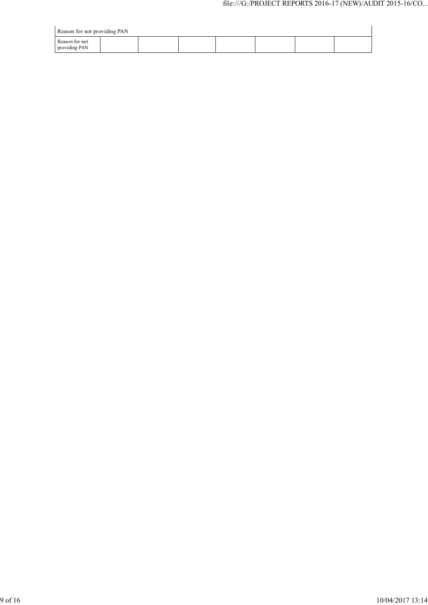| Reason for not providing PAN    |  |  |  |  |  |  |  |
|---------------------------------|--|--|--|--|--|--|--|
| Reason for not<br>providing PAN |  |  |  |  |  |  |  |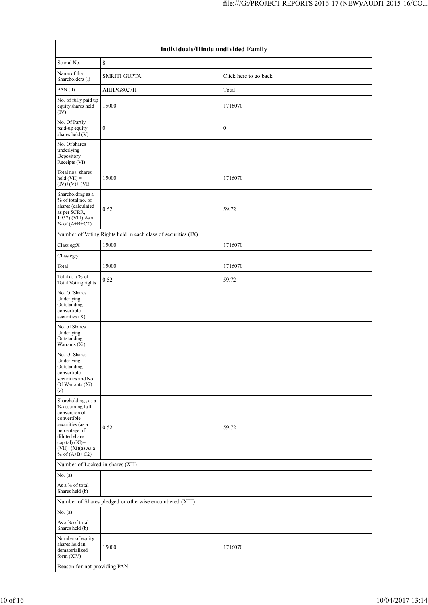| Individuals/Hindu undivided Family                                                                                                                                                          |                                                               |                       |  |  |  |  |  |
|---------------------------------------------------------------------------------------------------------------------------------------------------------------------------------------------|---------------------------------------------------------------|-----------------------|--|--|--|--|--|
| Searial No.                                                                                                                                                                                 | 8                                                             |                       |  |  |  |  |  |
| Name of the<br>Shareholders (I)                                                                                                                                                             | <b>SMRITI GUPTA</b>                                           | Click here to go back |  |  |  |  |  |
| PAN $(II)$                                                                                                                                                                                  | AHHPG8027H                                                    | Total                 |  |  |  |  |  |
| No. of fully paid up<br>equity shares held<br>(IV)                                                                                                                                          | 15000                                                         | 1716070               |  |  |  |  |  |
| No. Of Partly<br>paid-up equity<br>shares held (V)                                                                                                                                          | $\boldsymbol{0}$                                              | $\boldsymbol{0}$      |  |  |  |  |  |
| No. Of shares<br>underlying<br>Depository<br>Receipts (VI)                                                                                                                                  |                                                               |                       |  |  |  |  |  |
| Total nos. shares<br>held $(VII) =$<br>$(IV)+(V)+(VI)$                                                                                                                                      | 15000                                                         | 1716070               |  |  |  |  |  |
| Shareholding as a<br>% of total no. of<br>shares (calculated<br>as per SCRR,<br>1957) (VIII) As a<br>% of $(A+B+C2)$                                                                        | 0.52                                                          | 59.72                 |  |  |  |  |  |
|                                                                                                                                                                                             | Number of Voting Rights held in each class of securities (IX) |                       |  |  |  |  |  |
| Class eg:X                                                                                                                                                                                  | 15000                                                         | 1716070               |  |  |  |  |  |
| Class eg:y                                                                                                                                                                                  |                                                               |                       |  |  |  |  |  |
| Total                                                                                                                                                                                       | 15000                                                         | 1716070               |  |  |  |  |  |
| Total as a % of<br>Total Voting rights                                                                                                                                                      | 0.52                                                          | 59.72                 |  |  |  |  |  |
| No. Of Shares<br>Underlying<br>Outstanding<br>convertible<br>securities (X)                                                                                                                 |                                                               |                       |  |  |  |  |  |
| No. of Shares<br>Underlying<br>Outstanding<br>Warrants (Xi)                                                                                                                                 |                                                               |                       |  |  |  |  |  |
| No. Of Shares<br>Underlying<br>Outstanding<br>convertible<br>securities and No.<br>Of Warrants $(Xi)$<br>(a)                                                                                |                                                               |                       |  |  |  |  |  |
| Shareholding, as a<br>% assuming full<br>conversion of<br>convertible<br>securities (as a<br>percentage of<br>diluted share<br>capital) $(XI)$ =<br>$(VII)+(Xi)(a)$ As a<br>% of $(A+B+C2)$ | 0.52                                                          | 59.72                 |  |  |  |  |  |
| Number of Locked in shares (XII)                                                                                                                                                            |                                                               |                       |  |  |  |  |  |
| No. (a)                                                                                                                                                                                     |                                                               |                       |  |  |  |  |  |
| As a % of total<br>Shares held (b)                                                                                                                                                          |                                                               |                       |  |  |  |  |  |
|                                                                                                                                                                                             | Number of Shares pledged or otherwise encumbered (XIII)       |                       |  |  |  |  |  |
| No. (a)<br>As a % of total                                                                                                                                                                  |                                                               |                       |  |  |  |  |  |
| Shares held (b)<br>Number of equity<br>shares held in<br>dematerialized<br>form $(XIV)$                                                                                                     | 15000                                                         | 1716070               |  |  |  |  |  |
| Reason for not providing PAN                                                                                                                                                                |                                                               |                       |  |  |  |  |  |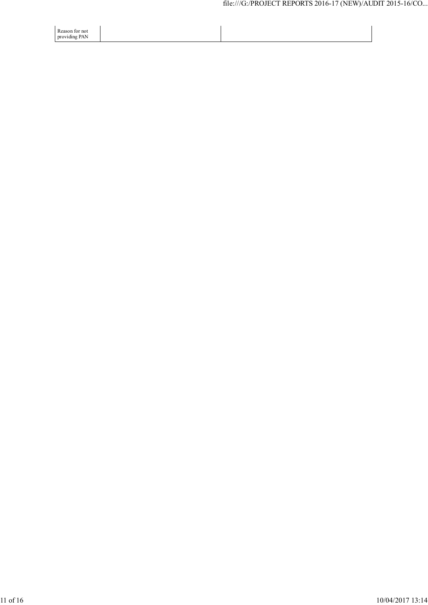| Reason for not<br>providing PAN<br>ັ |  |
|--------------------------------------|--|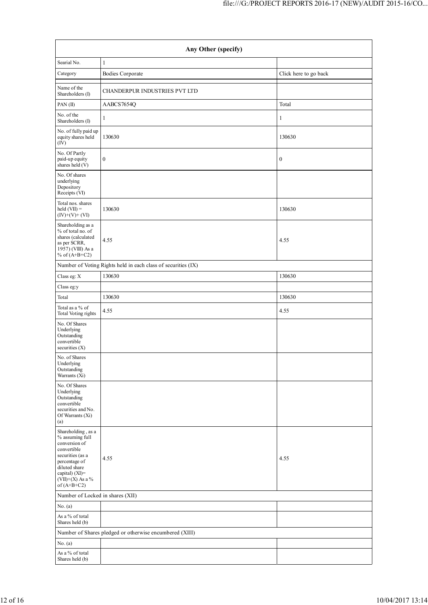| Any Other (specify)                                                                                                                                                                     |                                                               |                       |  |  |  |  |  |  |
|-----------------------------------------------------------------------------------------------------------------------------------------------------------------------------------------|---------------------------------------------------------------|-----------------------|--|--|--|--|--|--|
| Searial No.                                                                                                                                                                             | $\mathbf{1}$                                                  |                       |  |  |  |  |  |  |
| Category                                                                                                                                                                                | Bodies Corporate                                              | Click here to go back |  |  |  |  |  |  |
| Name of the<br>Shareholders (I)                                                                                                                                                         | CHANDERPUR INDUSTRIES PVT LTD                                 |                       |  |  |  |  |  |  |
| PAN $(II)$                                                                                                                                                                              | AABCS7654Q                                                    | Total                 |  |  |  |  |  |  |
| No. of the<br>Shareholders (I)                                                                                                                                                          | 1                                                             | 1                     |  |  |  |  |  |  |
| No. of fully paid up<br>equity shares held<br>(IV)                                                                                                                                      | 130630                                                        | 130630                |  |  |  |  |  |  |
| No. Of Partly<br>paid-up equity<br>shares held (V)                                                                                                                                      | $\boldsymbol{0}$                                              | $\boldsymbol{0}$      |  |  |  |  |  |  |
| No. Of shares<br>underlying<br>Depository<br>Receipts (VI)                                                                                                                              |                                                               |                       |  |  |  |  |  |  |
| Total nos. shares<br>held $(VII) =$<br>$(IV)+(V)+(VI)$                                                                                                                                  | 130630                                                        | 130630                |  |  |  |  |  |  |
| Shareholding as a<br>% of total no. of<br>shares (calculated<br>as per SCRR,<br>1957) (VIII) As a<br>% of $(A+B+C2)$                                                                    | 4.55                                                          | 4.55                  |  |  |  |  |  |  |
|                                                                                                                                                                                         | Number of Voting Rights held in each class of securities (IX) |                       |  |  |  |  |  |  |
| Class eg: X                                                                                                                                                                             | 130630                                                        | 130630                |  |  |  |  |  |  |
| Class eg:y                                                                                                                                                                              |                                                               |                       |  |  |  |  |  |  |
| Total                                                                                                                                                                                   | 130630                                                        | 130630                |  |  |  |  |  |  |
| Total as a % of<br>Total Voting rights                                                                                                                                                  | 4.55                                                          | 4.55                  |  |  |  |  |  |  |
| No. Of Shares<br>Underlying<br>Outstanding<br>convertible<br>securities (X)                                                                                                             |                                                               |                       |  |  |  |  |  |  |
| No. of Shares<br>Underlying<br>Outstanding<br>Warrants (Xi)                                                                                                                             |                                                               |                       |  |  |  |  |  |  |
| No. Of Shares<br>Underlying<br>Outstanding<br>convertible<br>securities and No.<br>Of Warrants (Xi)<br>(a)                                                                              |                                                               |                       |  |  |  |  |  |  |
| Shareholding, as a<br>% assuming full<br>conversion of<br>convertible<br>securities (as a<br>percentage of<br>diluted share<br>capital) $(XI)$ =<br>$(VII)+(X)$ As a %<br>of $(A+B+C2)$ | 4.55                                                          | 4.55                  |  |  |  |  |  |  |
| Number of Locked in shares (XII)                                                                                                                                                        |                                                               |                       |  |  |  |  |  |  |
| No. (a)                                                                                                                                                                                 |                                                               |                       |  |  |  |  |  |  |
| As a % of total<br>Shares held (b)                                                                                                                                                      |                                                               |                       |  |  |  |  |  |  |
|                                                                                                                                                                                         | Number of Shares pledged or otherwise encumbered (XIII)       |                       |  |  |  |  |  |  |
| No. (a)                                                                                                                                                                                 |                                                               |                       |  |  |  |  |  |  |
| As a % of total<br>Shares held (b)                                                                                                                                                      |                                                               |                       |  |  |  |  |  |  |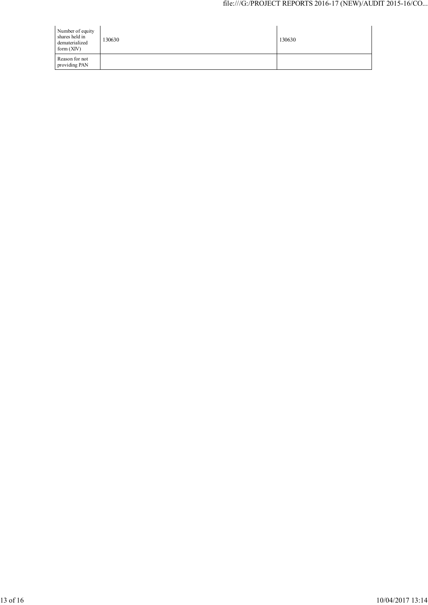| Number of equity<br>shares held in<br>dematerialized<br>form $(XIV)$ | 130630 | 130630 |
|----------------------------------------------------------------------|--------|--------|
| Reason for not<br>providing PAN                                      |        |        |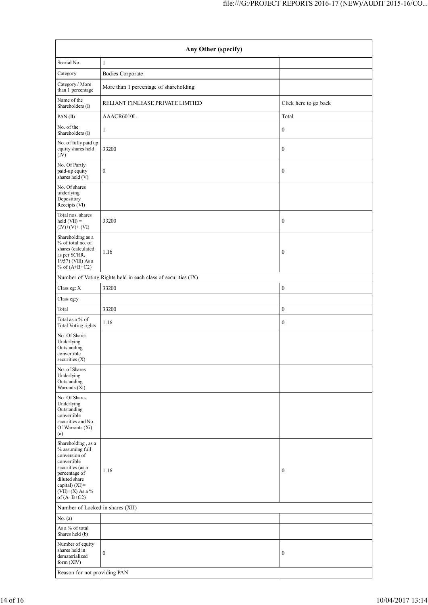| Any Other (specify)                                                                                                                                                                     |                                                               |                       |  |
|-----------------------------------------------------------------------------------------------------------------------------------------------------------------------------------------|---------------------------------------------------------------|-----------------------|--|
| Searial No.                                                                                                                                                                             | $\mathbf{1}$                                                  |                       |  |
| Category                                                                                                                                                                                | <b>Bodies Corporate</b>                                       |                       |  |
| Category / More<br>than 1 percentage                                                                                                                                                    | More than 1 percentage of shareholding                        |                       |  |
| Name of the<br>Shareholders (I)                                                                                                                                                         | RELIANT FINLEASE PRIVATE LIMTIED                              | Click here to go back |  |
| PAN(II)                                                                                                                                                                                 | AAACR6010L                                                    | Total                 |  |
| No. of the<br>Shareholders (I)                                                                                                                                                          | 1                                                             | $\boldsymbol{0}$      |  |
| No. of fully paid up<br>equity shares held<br>(IV)                                                                                                                                      | 33200                                                         | $\boldsymbol{0}$      |  |
| No. Of Partly<br>paid-up equity<br>shares held (V)                                                                                                                                      | $\boldsymbol{0}$                                              | $\boldsymbol{0}$      |  |
| No. Of shares<br>underlying<br>Depository<br>Receipts (VI)                                                                                                                              |                                                               |                       |  |
| Total nos. shares<br>held $(VII) =$<br>$(IV)+(V)+(VI)$                                                                                                                                  | 33200                                                         | $\boldsymbol{0}$      |  |
| Shareholding as a<br>% of total no. of<br>shares (calculated<br>as per SCRR,<br>1957) (VIII) As a<br>% of $(A+B+C2)$                                                                    | 1.16                                                          | $\boldsymbol{0}$      |  |
|                                                                                                                                                                                         | Number of Voting Rights held in each class of securities (IX) |                       |  |
| Class eg: X                                                                                                                                                                             | 33200                                                         | $\boldsymbol{0}$      |  |
| Class eg:y                                                                                                                                                                              |                                                               |                       |  |
| Total                                                                                                                                                                                   | 33200                                                         | $\boldsymbol{0}$      |  |
| Total as a % of<br>Total Voting rights                                                                                                                                                  | 1.16                                                          | $\boldsymbol{0}$      |  |
| No. Of Shares<br>Underlying<br>Outstanding<br>convertible<br>securities $(X)$                                                                                                           |                                                               |                       |  |
| No. of Shares<br>Underlying<br>Outstanding<br>Warrants (Xi)                                                                                                                             |                                                               |                       |  |
| No. Of Shares<br>Underlying<br>Outstanding<br>convertible<br>securities and No.<br>Of Warrants (Xi)<br>(a)                                                                              |                                                               |                       |  |
| Shareholding, as a<br>% assuming full<br>conversion of<br>convertible<br>securities (as a<br>percentage of<br>diluted share<br>capital) $(XI)$ =<br>$(VII)+(X)$ As a %<br>of $(A+B+C2)$ | 1.16                                                          | $\boldsymbol{0}$      |  |
| Number of Locked in shares (XII)                                                                                                                                                        |                                                               |                       |  |
| No. (a)                                                                                                                                                                                 |                                                               |                       |  |
| As a % of total<br>Shares held (b)                                                                                                                                                      |                                                               |                       |  |
| Number of equity<br>shares held in<br>dematerialized<br>form (XIV)                                                                                                                      | $\boldsymbol{0}$                                              | $\boldsymbol{0}$      |  |
| Reason for not providing PAN                                                                                                                                                            |                                                               |                       |  |